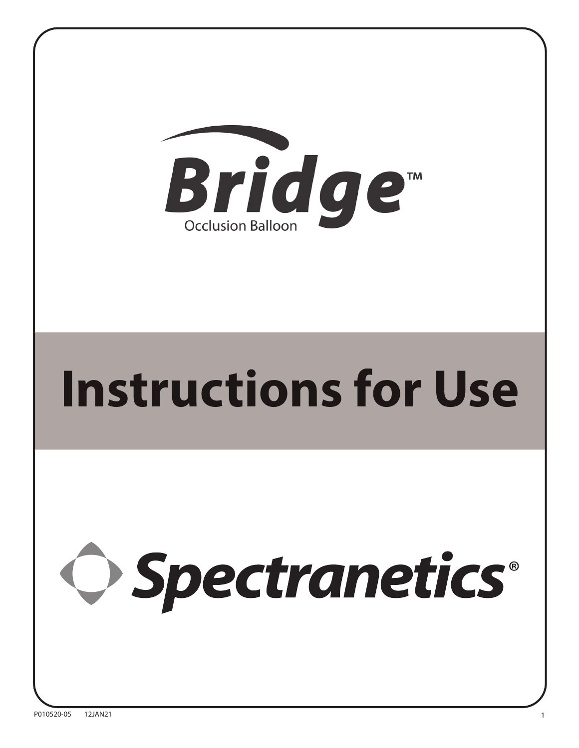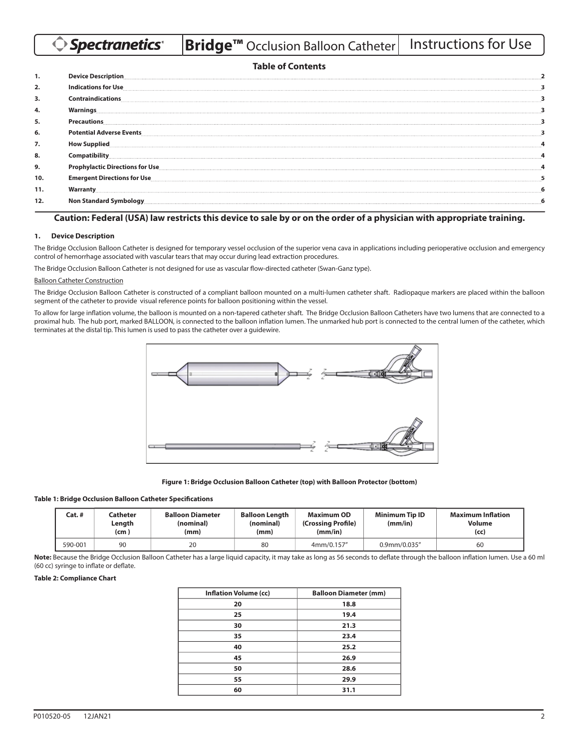# **Table of Contents**

| .,  |                                    |
|-----|------------------------------------|
| 2.  |                                    |
| 3.  |                                    |
| 4.  |                                    |
| 5.  |                                    |
| 6.  | <b>Potential Adverse Events</b>    |
| 7.  | <b>How</b>                         |
| 8.  |                                    |
| 9.  | hylactic Directions for Use        |
| 10. | <b>Emergent Directions for Use</b> |
| 11. |                                    |
|     | Non                                |

# **Caution: Federal (USA) law restricts this device to sale by or on the order of a physician with appropriate training.**

## **1. Device Description**

The Bridge Occlusion Balloon Catheter is designed for temporary vessel occlusion of the superior vena cava in applications including perioperative occlusion and emergency control of hemorrhage associated with vascular tears that may occur during lead extraction procedures.

The Bridge Occlusion Balloon Catheter is not designed for use as vascular flow-directed catheter (Swan-Ganz type).

## Balloon Catheter Construction

The Bridge Occlusion Balloon Catheter is constructed of a compliant balloon mounted on a multi-lumen catheter shaft. Radiopaque markers are placed within the balloon segment of the catheter to provide visual reference points for balloon positioning within the vessel.

To allow for large inflation volume, the balloon is mounted on a non-tapered catheter shaft. The Bridge Occlusion Balloon Catheters have two lumens that are connected to a proximal hub. The hub port, marked BALLOON, is connected to the balloon inflation lumen. The unmarked hub port is connected to the central lumen of the catheter, which terminates at the distal tip. This Iumen is used to pass the catheter over a guidewire.



#### **Figure 1: Bridge Occlusion Balloon Catheter (top) with Balloon Protector (bottom)**

## **Table 1: Bridge Occlusion Balloon Catheter Specifications**

| $Cat.$ # | Catheter<br>Lenath<br>(cm ) | <b>Balloon Diameter</b><br>(nominal)<br>(mm) | <b>Balloon Length</b><br>(nominal)<br>(mm) | <b>Maximum OD</b><br>(Crossing Profile)<br>(mm/in) | <b>Minimum Tip ID</b><br>(mm/in) | <b>Maximum Inflation</b><br>Volume<br>(cc) |
|----------|-----------------------------|----------------------------------------------|--------------------------------------------|----------------------------------------------------|----------------------------------|--------------------------------------------|
| 590-001  | 90                          | 20                                           | 80                                         | 4mm/0.157"                                         | $0.9$ mm/ $0.035''$              | 60                                         |

Note: Because the Bridge Occlusion Balloon Catheter has a large liquid capacity, it may take as long as 56 seconds to deflate through the balloon inflation lumen. Use a 60 ml (60 cc) syringe to inflate or deflate.

## **Table 2: Compliance Chart**

| <b>Inflation Volume (cc)</b> | <b>Balloon Diameter (mm)</b> |
|------------------------------|------------------------------|
| 20                           | 18.8                         |
| 25                           | 19.4                         |
| 30                           | 21.3                         |
| 35                           | 23.4                         |
| 40                           | 25.2                         |
| 45                           | 26.9                         |
| 50                           | 28.6                         |
| 55                           | 29.9                         |
| 60                           | 31.1                         |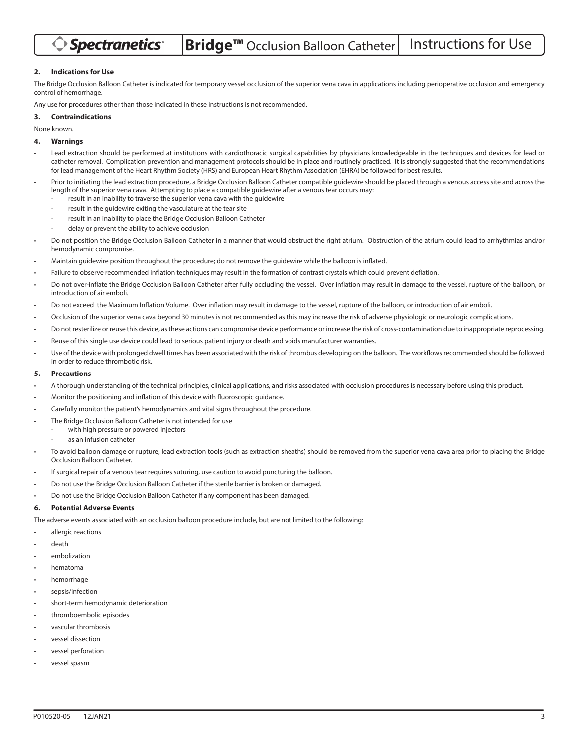## **2. Indications for Use**

The Bridge Occlusion Balloon Catheter is indicated for temporary vessel occlusion of the superior vena cava in applications including perioperative occlusion and emergency control of hemorrhage.

Any use for procedures other than those indicated in these instructions is not recommended.

#### **3. Contraindications**

None known.

#### **4. Warnings**

- Lead extraction should be performed at institutions with cardiothoracic surgical capabilities by physicians knowledgeable in the techniques and devices for lead or catheter removal. Complication prevention and management protocols should be in place and routinely practiced. It is strongly suggested that the recommendations for lead management of the Heart Rhythm Society (HRS) and European Heart Rhythm Association (EHRA) be followed for best results.
- Prior to initiating the lead extraction procedure, a Bridge Occlusion Balloon Catheter compatible guidewire should be placed through a venous access site and across the length of the superior vena cava. Attempting to place a compatible guidewire after a venous tear occurs may:
	- result in an inability to traverse the superior vena cava with the guidewire
	- result in the guidewire exiting the vasculature at the tear site
	- result in an inability to place the Bridge Occlusion Balloon Catheter
	- delay or prevent the ability to achieve occlusion
- Do not position the Bridge Occlusion Balloon Catheter in a manner that would obstruct the right atrium. Obstruction of the atrium could lead to arrhythmias and/or hemodynamic compromise.
- Maintain guidewire position throughout the procedure; do not remove the guidewire while the balloon is inflated.
- Failure to observe recommended inflation techniques may result in the formation of contrast crystals which could prevent deflation.
- Do not over-inflate the Bridge Occlusion Balloon Catheter after fully occluding the vessel. Over inflation may result in damage to the vessel, rupture of the balloon, or introduction of air emboli.
- Do not exceed the Maximum Inflation Volume. Over inflation may result in damage to the vessel, rupture of the balloon, or introduction of air emboli.
- Occlusion of the superior vena cava beyond 30 minutes is not recommended as this may increase the risk of adverse physiologic or neurologic complications.
- Do not resterilize or reuse this device, as these actions can compromise device performance or increase the risk of cross-contamination due to inappropriate reprocessing.
- Reuse of this single use device could lead to serious patient injury or death and voids manufacturer warranties.
- Use of the device with prolonged dwell times has been associated with the risk of thrombus developing on the balloon. The workflows recommended should be followed in order to reduce thrombotic risk.

#### **5. Precautions**

- A thorough understanding of the technical principles, clinical applications, and risks associated with occlusion procedures is necessary before using this product.
- Monitor the positioning and inflation of this device with fluoroscopic guidance.
- Carefully monitor the patient's hemodynamics and vital signs throughout the procedure.
- The Bridge Occlusion Balloon Catheter is not intended for use
- with high pressure or powered injectors
	- as an infusion catheter
- To avoid balloon damage or rupture, lead extraction tools (such as extraction sheaths) should be removed from the superior vena cava area prior to placing the Bridge Occlusion Balloon Catheter.
- If surgical repair of a venous tear requires suturing, use caution to avoid puncturing the balloon.
- Do not use the Bridge Occlusion Balloon Catheter if the sterile barrier is broken or damaged.
- Do not use the Bridge Occlusion Balloon Catheter if any component has been damaged.

## **6. Potential Adverse Events**

The adverse events associated with an occlusion balloon procedure include, but are not limited to the following:

- allergic reactions
- death
- embolization
- hematoma
- hemorrhage
- sepsis/infection
- short-term hemodynamic deterioration
- thromboembolic episodes
- vascular thrombosis
- vessel dissection
- vessel perforation
- vessel spasm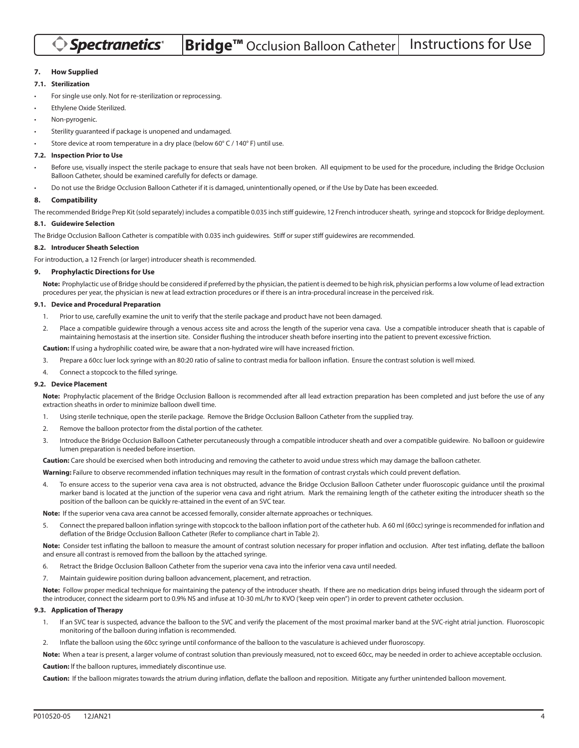## **7. How Supplied**

## **7.1. Sterilization**

- For single use only. Not for re-sterilization or reprocessing.
- Ethylene Oxide Sterilized.
- Non-pyrogenic.
- Sterility guaranteed if package is unopened and undamaged.
- Store device at room temperature in a dry place (below 60° C / 140° F) until use.

#### **7.2. Inspection Prior to Use**

- Before use, visually inspect the sterile package to ensure that seals have not been broken. All equipment to be used for the procedure, including the Bridge Occlusion Balloon Catheter, should be examined carefully for defects or damage.
- Do not use the Bridge Occlusion Balloon Catheter if it is damaged, unintentionally opened, or if the Use by Date has been exceeded.

#### **8. Compatibility**

The recommended Bridge Prep Kit (sold separately) includes a compatible 0.035 inch stiff quidewire, 12 French introducer sheath, syringe and stopcock for Bridge deployment.

## **8.1. Guidewire Selection**

The Bridge Occlusion Balloon Catheter is compatible with 0.035 inch guidewires. Stiff or super stiff guidewires are recommended.

## **8.2. Introducer Sheath Selection**

For introduction, a 12 French (or larger) introducer sheath is recommended.

## **9. Prophylactic Directions for Use**

**Note:** Prophylactic use of Bridge should be considered if preferred by the physician, the patient is deemed to be high risk, physician performs a low volume of lead extraction procedures per year, the physician is new at lead extraction procedures or if there is an intra-procedural increase in the perceived risk.

#### **9.1. Device and Procedural Preparation**

- 1. Prior to use, carefully examine the unit to verify that the sterile package and product have not been damaged.
- 2. Place a compatible guidewire through a venous access site and across the length of the superior vena cava. Use a compatible introducer sheath that is capable of maintaining hemostasis at the insertion site. Consider flushing the introducer sheath before inserting into the patient to prevent excessive friction.

**Caution:** If using a hydrophilic coated wire, be aware that a non-hydrated wire will have increased friction.

- 3. Prepare a 60cc luer lock syringe with an 80:20 ratio of saline to contrast media for balloon inflation. Ensure the contrast solution is well mixed.
- 4. Connect a stopcock to the filled syringe.

## **9.2. Device Placement**

**Note:** Prophylactic placement of the Bridge Occlusion Balloon is recommended after all lead extraction preparation has been completed and just before the use of any extraction sheaths in order to minimize balloon dwell time.

- 1. Using sterile technique, open the sterile package. Remove the Bridge Occlusion Balloon Catheter from the supplied tray.
- 2. Remove the balloon protector from the distal portion of the catheter.
- 3. Introduce the Bridge Occlusion Balloon Catheter percutaneously through a compatible introducer sheath and over a compatible guidewire. No balloon or guidewire lumen preparation is needed before insertion.

**Caution:** Care should be exercised when both introducing and removing the catheter to avoid undue stress which may damage the balloon catheter.

Warning: Failure to observe recommended inflation techniques may result in the formation of contrast crystals which could prevent deflation.

4. To ensure access to the superior vena cava area is not obstructed, advance the Bridge Occlusion Balloon Catheter under fluoroscopic guidance until the proximal marker band is located at the junction of the superior vena cava and right atrium. Mark the remaining length of the catheter exiting the introducer sheath so the position of the balloon can be quickly re-attained in the event of an SVC tear.

**Note:** If the superior vena cava area cannot be accessed femorally, consider alternate approaches or techniques.

5. Connect the prepared balloon inflation syringe with stopcock to the balloon inflation port of the catheter hub. A 60 ml (60cc) syringe is recommended for inflation and deflation of the Bridge Occlusion Balloon Catheter (Refer to compliance chart in Table 2).

Note: Consider test inflating the balloon to measure the amount of contrast solution necessary for proper inflation and occlusion. After test inflating, deflate the balloon and ensure all contrast is removed from the balloon by the attached syringe.

- 6. Retract the Bridge Occlusion Balloon Catheter from the superior vena cava into the inferior vena cava until needed.
- 7. Maintain guidewire position during balloon advancement, placement, and retraction.

**Note:** Follow proper medical technique for maintaining the patency of the introducer sheath. If there are no medication drips being infused through the sidearm port of the introducer, connect the sidearm port to 0.9% NS and infuse at 10-30 mL/hr to KVO ('keep vein open") in order to prevent catheter occlusion.

#### **9.3. Application of Therapy**

- 1. If an SVC tear is suspected, advance the balloon to the SVC and verify the placement of the most proximal marker band at the SVC-right atrial junction. Fluoroscopic monitoring of the balloon during inflation is recommended.
- 2. Inflate the balloon using the 60cc syringe until conformance of the balloon to the vasculature is achieved under fluoroscopy.

Note: When a tear is present, a larger volume of contrast solution than previously measured, not to exceed 60cc, may be needed in order to achieve acceptable occlusion. **Caution:** lf the balloon ruptures, immediately discontinue use.

Caution: If the balloon migrates towards the atrium during inflation, deflate the balloon and reposition. Mitigate any further unintended balloon movement.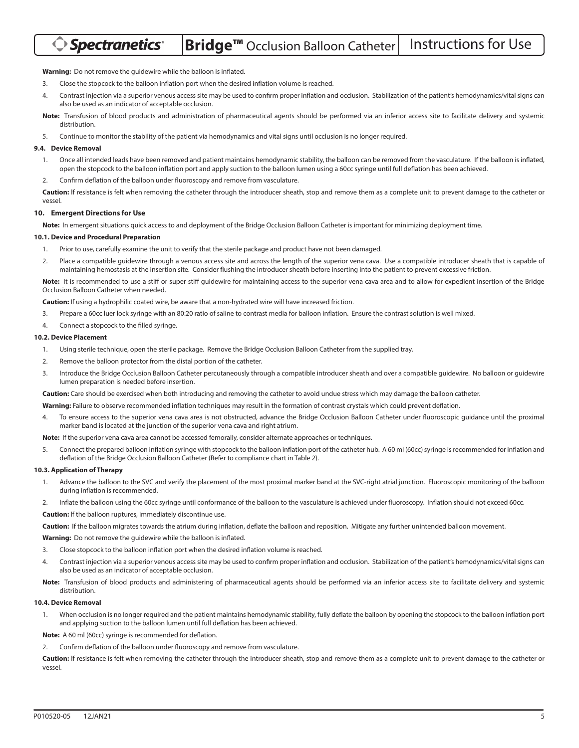Warning: Do not remove the guidewire while the balloon is inflated.

- 3. Close the stopcock to the balloon inflation port when the desired inflation volume is reached.
- 4. Contrast injection via a superior venous access site may be used to confirm proper inflation and occlusion. Stabilization of the patient's hemodynamics/vital signs can also be used as an indicator of acceptable occlusion.

**Note:** Transfusion of blood products and administration of pharmaceutical agents should be performed via an inferior access site to facilitate delivery and systemic distribution.

5. Continue to monitor the stability of the patient via hemodynamics and vital signs until occlusion is no longer required.

#### **9.4. Device Removal**

- 1. Once all intended leads have been removed and patient maintains hemodynamic stability, the balloon can be removed from the vasculature. If the balloon is inflated, open the stopcock to the balloon inflation port and apply suction to the balloon lumen using a 60cc syringe until full deflation has been achieved.
- 2. Confirm deflation of the balloon under fluoroscopy and remove from vasculature.

**Caution:** lf resistance is felt when removing the catheter through the introducer sheath, stop and remove them as a complete unit to prevent damage to the catheter or vessel.

#### **10. Emergent Directions for Use**

**Note:** In emergent situations quick access to and deployment of the Bridge Occlusion Balloon Catheter is important for minimizing deployment time.

#### **10.1. Device and Procedural Preparation**

- 1. Prior to use, carefully examine the unit to verify that the sterile package and product have not been damaged.
- 2. Place a compatible guidewire through a venous access site and across the length of the superior vena cava. Use a compatible introducer sheath that is capable of maintaining hemostasis at the insertion site. Consider flushing the introducer sheath before inserting into the patient to prevent excessive friction.

Note: It is recommended to use a stiff or super stiff guidewire for maintaining access to the superior vena cava area and to allow for expedient insertion of the Bridge Occlusion Balloon Catheter when needed.

**Caution:** If using a hydrophilic coated wire, be aware that a non-hydrated wire will have increased friction.

- 3. Prepare a 60cc luer lock syringe with an 80:20 ratio of saline to contrast media for balloon inflation. Ensure the contrast solution is well mixed.
- 4. Connect a stopcock to the filled syringe.

#### **10.2. Device Placement**

- 1. Using sterile technique, open the sterile package. Remove the Bridge Occlusion Balloon Catheter from the supplied tray.
- 2. Remove the balloon protector from the distal portion of the catheter.
- 3. Introduce the Bridge Occlusion Balloon Catheter percutaneously through a compatible introducer sheath and over a compatible guidewire. No balloon or guidewire lumen preparation is needed before insertion.

**Caution:** Care should be exercised when both introducing and removing the catheter to avoid undue stress which may damage the balloon catheter.

Warning: Failure to observe recommended inflation techniques may result in the formation of contrast crystals which could prevent deflation.

4. To ensure access to the superior vena cava area is not obstructed, advance the Bridge Occlusion Balloon Catheter under fluoroscopic guidance until the proximal marker band is located at the junction of the superior vena cava and right atrium.

**Note:** If the superior vena cava area cannot be accessed femorally, consider alternate approaches or techniques.

5. Connect the prepared balloon inflation syringe with stopcock to the balloon inflation port of the catheter hub. A 60 ml (60cc) syringe is recommended for inflation and deflation of the Bridge Occlusion Balloon Catheter (Refer to compliance chart in Table 2).

#### **10.3. Application of Therapy**

- 1. Advance the balloon to the SVC and verify the placement of the most proximal marker band at the SVC-right atrial junction. Fluoroscopic monitoring of the balloon during inflation is recommended.
- 2. Inflate the balloon using the 60cc syringe until conformance of the balloon to the vasculature is achieved under fluoroscopy. Inflation should not exceed 60cc.

**Caution:** lf the balloon ruptures, immediately discontinue use.

Caution: If the balloon migrates towards the atrium during inflation, deflate the balloon and reposition. Mitigate any further unintended balloon movement.

Warning: Do not remove the quidewire while the balloon is inflated.

- 3. Close stopcock to the balloon inflation port when the desired inflation volume is reached.
- 4. Contrast injection via a superior venous access site may be used to confirm proper inflation and occlusion. Stabilization of the patient's hemodynamics/vital signs can also be used as an indicator of acceptable occlusion.

**Note:** Transfusion of blood products and administering of pharmaceutical agents should be performed via an inferior access site to facilitate delivery and systemic distribution.

#### **10.4. Device Removal**

1. When occlusion is no longer required and the patient maintains hemodynamic stability, fully deflate the balloon by opening the stopcock to the balloon inflation port and applying suction to the balloon lumen until full deflation has been achieved.

**Note:** A 60 ml (60cc) syringe is recommended for deflation.

2. Confirm deflation of the balloon under fluoroscopy and remove from vasculature.

**Caution:** lf resistance is felt when removing the catheter through the introducer sheath, stop and remove them as a complete unit to prevent damage to the catheter or vessel.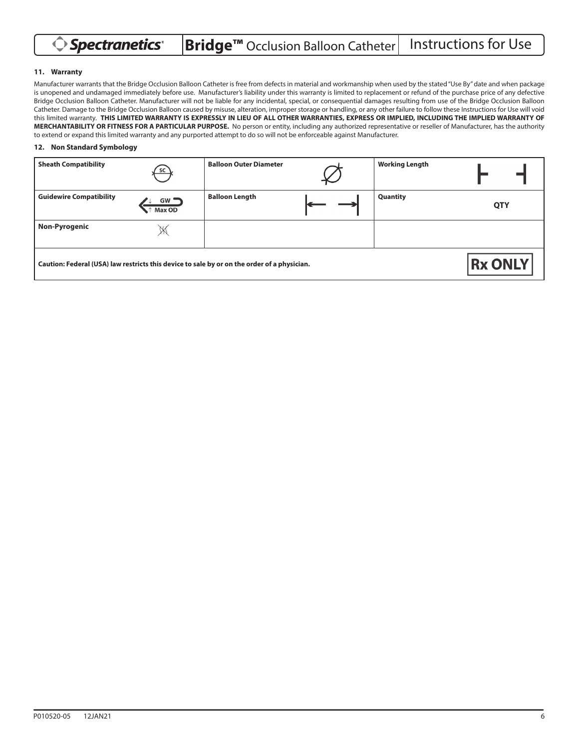# **11. Warranty**

Manufacturer warrants that the Bridge Occlusion Balloon Catheter is free from defects in material and workmanship when used by the stated "Use By" date and when package is unopened and undamaged immediately before use. Manufacturer's liability under this warranty is limited to replacement or refund of the purchase price of any defective Bridge Occlusion Balloon Catheter. Manufacturer will not be liable for any incidental, special, or consequential damages resulting from use of the Bridge Occlusion Balloon Catheter. Damage to the Bridge Occlusion Balloon caused by misuse, alteration, improper storage or handling, or any other failure to follow these Instructions for Use will void this limited warranty. **THIS LIMITED WARRANTY IS EXPRESSLY IN LIEU OF ALL OTHER WARRANTIES, EXPRESS OR IMPLIED, INCLUDING THE IMPLIED WARRANTY OF MERCHANTABILITY OR FITNESS FOR A PARTICULAR PURPOSE.** No person or entity, including any authorized representative or reseller of Manufacturer, has the authority to extend or expand this limited warranty and any purported attempt to do so will not be enforceable against Manufacturer.

## **12. Non Standard Symbology**

| <b>Sheath Compatibility</b>                                                                 | sc \                    | <b>Balloon Outer Diameter</b> | <b>Working Length</b> |            |
|---------------------------------------------------------------------------------------------|-------------------------|-------------------------------|-----------------------|------------|
| <b>Guidewire Compatibility</b>                                                              | GW<br>$\uparrow$ Max OD | <b>Balloon Length</b>         | Quantity              | <b>QTY</b> |
| Non-Pyrogenic                                                                               |                         |                               |                       |            |
| Caution: Federal (USA) law restricts this device to sale by or on the order of a physician. | <b>Rx ONLY</b>          |                               |                       |            |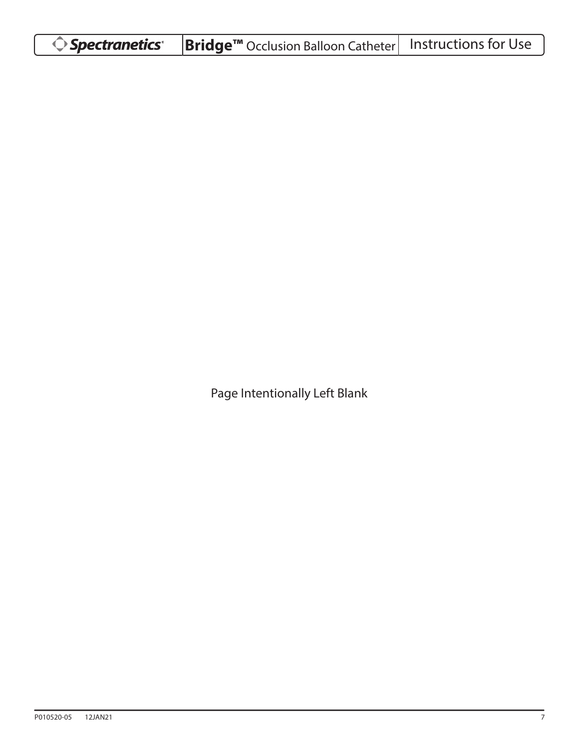| <b>○ Spectranetics</b> |  |  |  |  |  | <b>Bridge™</b> Occlusion Balloon Catheter   Instructions for Use |  |  |
|------------------------|--|--|--|--|--|------------------------------------------------------------------|--|--|
|------------------------|--|--|--|--|--|------------------------------------------------------------------|--|--|

Page Intentionally Left Blank